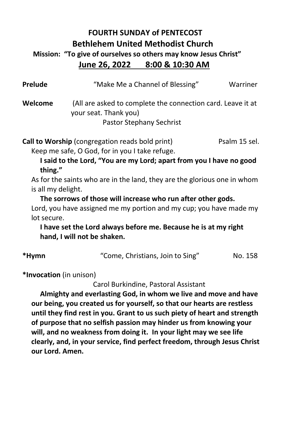## **FOURTH SUNDAY of PENTECOST Bethlehem United Methodist Church Mission: "To give of ourselves so others may know Jesus Christ" June 26, 2022 8:00 & 10:30 AM**

| Prelude                 | "Make Me a Channel of Blessing"                                                                                                                                                                                                                | Warriner      |
|-------------------------|------------------------------------------------------------------------------------------------------------------------------------------------------------------------------------------------------------------------------------------------|---------------|
| Welcome                 | (All are asked to complete the connection card. Leave it at<br>your seat. Thank you)<br><b>Pastor Stephany Sechrist</b>                                                                                                                        |               |
|                         | Call to Worship (congregation reads bold print)<br>Keep me safe, O God, for in you I take refuge.                                                                                                                                              | Psalm 15 sel. |
| thing."                 | I said to the Lord, "You are my Lord; apart from you I have no good                                                                                                                                                                            |               |
| is all my delight.      | As for the saints who are in the land, they are the glorious one in whom                                                                                                                                                                       |               |
| lot secure.             | The sorrows of those will increase who run after other gods.<br>Lord, you have assigned me my portion and my cup; you have made my                                                                                                             |               |
|                         | I have set the Lord always before me. Because he is at my right<br>hand, I will not be shaken.                                                                                                                                                 |               |
| *Hymn                   | "Come, Christians, Join to Sing"                                                                                                                                                                                                               | No. 158       |
| *Invocation (in unison) |                                                                                                                                                                                                                                                |               |
|                         | Carol Burkindine, Pastoral Assistant                                                                                                                                                                                                           |               |
|                         | Almighty and everlasting God, in whom we live and move and have<br>our being, you created us for yourself, so that our hearts are restless<br>والموجوديات اوجرم للعوم بالمراوية ويلمثون والمربط والمستعل والمتحدث والتواصيل والمتثل بمواله انه |               |

 **until they find rest in you. Grant to us such piety of heart and strength of purpose that no selfish passion may hinder us from knowing your will, and no weakness from doing it. In your light may we see life clearly, and, in your service, find perfect freedom, through Jesus Christ our Lord. Amen.**